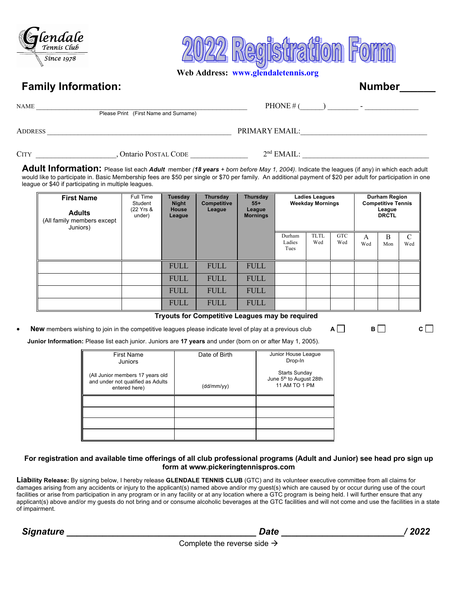



 **Web Address: www.glendaletennis.org**

### **Family Information:** Number 2004 10:00 10:00 10:00 10:00 10:00 10:00 10:00 10:00 10:00 10:00 10:00 10:00 10:00 10:00 10:00 10:00 10:00 10:00 10:00 10:00 10:00 10:00 10:00 10:00 10:00 10:00 10:00 10:00 10:00 10:00 10:00 10

| NAME                                  | PHONE # $($              |
|---------------------------------------|--------------------------|
| Please Print (First Name and Surname) | $\overline{\phantom{a}}$ |
| Address                               | PRIMARY EMAIL:           |

CITY \_\_\_\_\_\_\_\_\_\_\_\_\_\_\_\_\_\_\_\_\_, Ontario POSTAL CODE \_\_\_\_\_\_\_\_\_\_\_\_\_\_\_ 2nd EMAIL: \_\_\_\_\_\_\_\_\_\_\_\_\_\_\_\_\_\_\_\_\_\_\_\_\_\_\_\_\_\_\_\_\_

**Adult Information:** Please list each *Adult* member *(18 years + born before May 1, 2004)*. Indicate the leagues (if any) in which each adult would like to participate in. Basic Membership fees are \$50 per single or \$70 per family. An additional payment of \$20 per adult for participation in one league or \$40 if participating in multiple leagues.

| <b>First Name</b><br><b>Adults</b><br>(All family members except<br>Juniors) | Full Time<br>Student<br>(22 Yrs &<br>under) | <b>Tuesday</b><br><b>Night</b><br><b>House</b><br>League | <b>Thursday</b><br><b>Competitive</b><br>League | Thursday<br><b>Ladies Leagues</b><br><b>Weekday Mornings</b><br>$55+$<br>League<br><b>Mornings</b> |                          |                    |                   | <b>Durham Region</b><br><b>Competitive Tennis</b><br>League<br><b>DRCTL</b> |          |          |
|------------------------------------------------------------------------------|---------------------------------------------|----------------------------------------------------------|-------------------------------------------------|----------------------------------------------------------------------------------------------------|--------------------------|--------------------|-------------------|-----------------------------------------------------------------------------|----------|----------|
|                                                                              |                                             |                                                          |                                                 |                                                                                                    | Durham<br>Ladies<br>Tues | <b>TLTL</b><br>Wed | <b>GTC</b><br>Wed | A<br>Wed                                                                    | B<br>Mon | C<br>Wed |
|                                                                              |                                             | <b>FULL</b>                                              | <b>FULL</b>                                     | <b>FULL</b>                                                                                        |                          |                    |                   |                                                                             |          |          |
|                                                                              |                                             | <b>FULL</b>                                              | <b>FULL</b>                                     | <b>FULL</b>                                                                                        |                          |                    |                   |                                                                             |          |          |
|                                                                              |                                             | <b>FULL</b>                                              | <b>FULL</b>                                     | <b>FULL</b>                                                                                        |                          |                    |                   |                                                                             |          |          |
|                                                                              |                                             | <b>FULL</b>                                              | <b>FULL</b>                                     | <b>FULL</b>                                                                                        |                          |                    |                   |                                                                             |          |          |

**Tryouts for Competitive Leagues may be required** 

**New** members wishing to join in the competitive leagues please indicate level of play at a previous club  $A \Box$  **B**  $\Box$  **C**  $\Box$ **Junior Information:** Please list each junior. Juniors are **17 years** and under (born on or after May 1, 2005).

| <b>First Name</b><br>Juniors                                                           | Date of Birth | Junior House League<br>Drop-In                                               |
|----------------------------------------------------------------------------------------|---------------|------------------------------------------------------------------------------|
| (All Junior members 17 years old<br>and under not qualified as Adults<br>entered here) | (dd/mm/yy)    | <b>Starts Sunday</b><br>June 5 <sup>th</sup> to August 28th<br>11 AM TO 1 PM |
|                                                                                        |               |                                                                              |
|                                                                                        |               |                                                                              |
|                                                                                        |               |                                                                              |
|                                                                                        |               |                                                                              |

### **For registration and available time offerings of all club professional programs (Adult and Junior) see head pro sign up form at www.pickeringtennispros.com**

**Liability Release:** By signing below, I hereby release **GLENDALE TENNIS CLUB** (GTC) and its volunteer executive committee from all claims for damages arising from any accidents or injury to the applicant(s) named above and/or my guest(s) which are caused by or occur during use of the court facilities or arise from participation in any program or in any facility or at any location where a GTC program is being held. I will further ensure that any applicant(s) above and/or my guests do not bring and or consume alcoholic beverages at the GTC facilities and will not come and use the facilities in a state of impairment.

 *Signature \_\_\_\_\_\_\_\_\_\_\_\_\_\_\_\_\_\_\_\_\_\_\_\_\_\_\_\_\_\_\_\_\_\_\_\_\_ Date \_\_\_\_\_\_\_\_\_\_\_\_\_\_\_\_\_\_\_\_\_\_\_\_/ 2022*

Complete the reverse side  $\rightarrow$